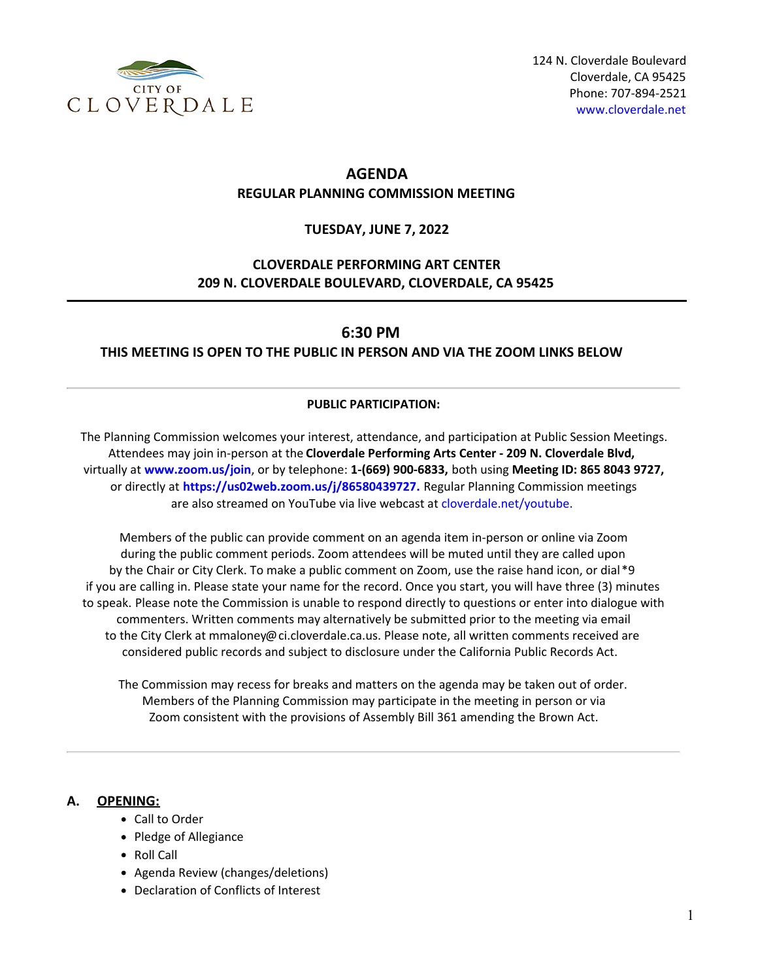

# **AGENDA REGULAR PLANNING COMMISSION MEETING**

### **TUESDAY, JUNE 7, 2022**

# **CLOVERDALE PERFORMING ART CENTER 209 N. CLOVERDALE BOULEVARD, CLOVERDALE, CA 95425**

## **6:30 PM**

## **THIS MEETING IS OPEN TO THE PUBLIC IN PERSON AND VIA THE ZOOM LINKS BELOW**

#### **PUBLIC PARTICIPATION:**

The Planning Commission welcomes your interest, attendance, and participation at Public Session Meetings. Attendees may join in-person at the **Cloverdale Performing Arts Center - 209 N. Cloverdale Blvd,** virtually at **[www.zoom.us/join](https://www.zoom.us/join)**, or by telephone: **1-(669) 900-6833,** both using **Meeting ID: 865 8043 9727,** or directly at **[https://us02web.zoom.us/j/86580439727.](https://us02web.zoom.us/j/86580439727)** Regular Planning Commission meetings are also streamed on YouTube via live webcast at [cloverdale.net/youtube.](https://www.cloverdale.net/youtube)

Members of the public can provide comment on an agenda item in-person or online via Zoom during the public comment periods. Zoom attendees will be muted until they are called upon by the Chair or City Clerk. To make a public comment on Zoom, use the raise hand icon, or dial\*9 if you are calling in. Please state your name for the record. Once you start, you will have three (3) minutes to speak. Please note the Commission is unable to respond directly to questions or enter into dialogue with commenters. Written comments may alternatively be submitted prior to the meeting via email to the City Clerk at mmaloney@ci.cloverdale.ca.us. Please note, all written comments received are considered public records and subject to disclosure under the California Public Records Act.

The Commission may recess for breaks and matters on the agenda may be taken out of order. Members of the Planning Commission may participate in the meeting in person or via Zoom consistent with the provisions of Assembly Bill 361 amending the Brown Act.

### **A. OPENING:**

- Call to Order
- Pledge of Allegiance
- Roll Call
- Agenda Review (changes/deletions)
- Declaration of Conflicts of Interest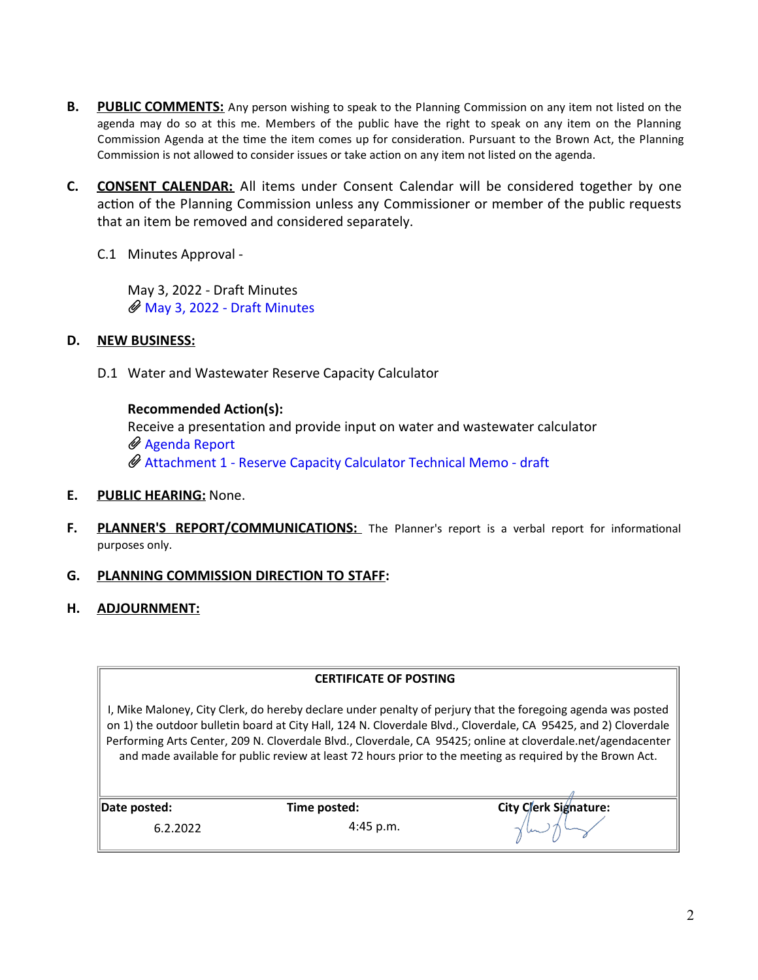- **B.** PUBLIC COMMENTS: Any person wishing to speak to the Planning Commission on any item not listed on the agenda may do so at this me. Members of the public have the right to speak on any item on the Planning Commission Agenda at the time the item comes up for consideration. Pursuant to the Brown Act, the Planning Commission is not allowed to consider issues or take action on any item not listed on the agenda.
- **C. CONSENT CALENDAR:** All items under Consent Calendar will be considered together by one action of the Planning Commission unless any Commissioner or member of the public requests that an item be removed and considered separately.
	- C.1 Minutes Approval -

May 3, 2022 - Draft Minutes [May 3, 2022 - Draft Minutes](https://legistarweb-production.s3.amazonaws.com/uploads/attachment/pdf/1403538/Planning_Commission_May_3__2022.pdf)

## **D. NEW BUSINESS:**

D.1 Water and Wastewater Reserve Capacity Calculator

**Recommended Action(s):** Receive a presentation and provide input on water and wastewater calculator [Agenda Report](https://legistarweb-production.s3.amazonaws.com/uploads/attachment/pdf/1403835/Agenda_Report.pdf) [Attachment 1 - Reserve Capacity Calculator Technical Memo - draft](https://legistarweb-production.s3.amazonaws.com/uploads/attachment/pdf/1403839/Attachment_1_-_Reserve_Capacity_Calculator_Technical_Memo-_draft.pdf)

- **E. PUBLIC HEARING:** None.
- **F.** PLANNER'S REPORT/COMMUNICATIONS: The Planner's report is a verbal report for informational purposes only.
- **G. PLANNING COMMISSION DIRECTION TO STAFF:**
- **H. ADJOURNMENT:**

I, Mike Maloney, City Clerk, do hereby declare under penalty of perjury that the foregoing agenda was posted on 1) the outdoor bulletin board at City Hall, 124 N. Cloverdale Blvd., Cloverdale, CA 95425, and 2) Cloverdale Performing Arts Center, 209 N. Cloverdale Blvd., Cloverdale, CA 95425; online at cloverdale.net/agendacenter and made available for public review at least 72 hours prior to the meeting as required by the Brown Act.

6.2.2022 4:45 p.m.

**Date posted: Time posted: City Clerk Signature:** City Clerk Signature: